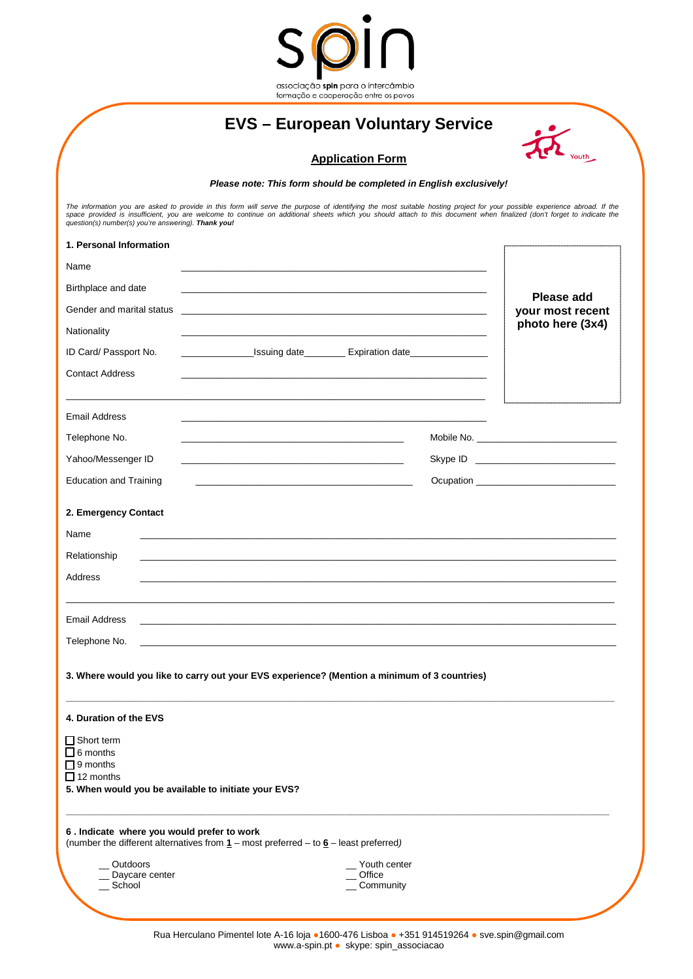

## **EVS – European Voluntary Service**

| Youth |
|-------|

## **Application Form**

*Please note: This form should be completed in English exclusively!* 

The information you are asked to provide in this form will serve the purpose of identifying the most suitable hosting project for your possible experience abroad. If the<br>space provided is insufficient, you are welcome to c

| 1. Personal Information                                                                                                                                        |                                                                                               |                                       |                   |
|----------------------------------------------------------------------------------------------------------------------------------------------------------------|-----------------------------------------------------------------------------------------------|---------------------------------------|-------------------|
| Name                                                                                                                                                           |                                                                                               |                                       |                   |
| Birthplace and date                                                                                                                                            |                                                                                               |                                       | <b>Please add</b> |
| Gender and marital status                                                                                                                                      |                                                                                               |                                       | your most recent  |
| Nationality                                                                                                                                                    |                                                                                               |                                       | photo here (3x4)  |
| ID Card/ Passport No.                                                                                                                                          | <b>Expiration date Mate Expiration date Mate Expiration</b> date                              |                                       |                   |
| <b>Contact Address</b>                                                                                                                                         |                                                                                               |                                       |                   |
| <b>Email Address</b>                                                                                                                                           |                                                                                               |                                       |                   |
| Telephone No.                                                                                                                                                  |                                                                                               |                                       |                   |
| Yahoo/Messenger ID                                                                                                                                             |                                                                                               |                                       |                   |
| <b>Education and Training</b>                                                                                                                                  |                                                                                               |                                       |                   |
| 2. Emergency Contact                                                                                                                                           |                                                                                               |                                       |                   |
| Name                                                                                                                                                           |                                                                                               |                                       |                   |
| Relationship                                                                                                                                                   |                                                                                               |                                       |                   |
| Address                                                                                                                                                        |                                                                                               |                                       |                   |
| Email Address                                                                                                                                                  | <u> 1989 - Johann Stoff, amerikansk politiker (d. 1989)</u>                                   |                                       |                   |
| Telephone No.                                                                                                                                                  | and the control of the control of the control of the control of the control of the control of |                                       |                   |
| 3. Where would you like to carry out your EVS experience? (Mention a minimum of 3 countries)                                                                   |                                                                                               |                                       |                   |
| 4. Duration of the EVS                                                                                                                                         |                                                                                               |                                       |                   |
| $\square$ Short term<br>$\Box$ 6 months<br>$\Box$ 9 months<br>$\Box$ 12 months<br>5. When would you be available to initiate your EVS?                         |                                                                                               |                                       |                   |
| 6. Indicate where you would prefer to work<br>(number the different alternatives from $\underline{1}$ – most preferred – to $\underline{6}$ – least preferred) |                                                                                               |                                       |                   |
| Outdoors<br>Daycare center<br>_School                                                                                                                          |                                                                                               | Youth center<br>Office<br>_ Community |                   |
|                                                                                                                                                                |                                                                                               |                                       |                   |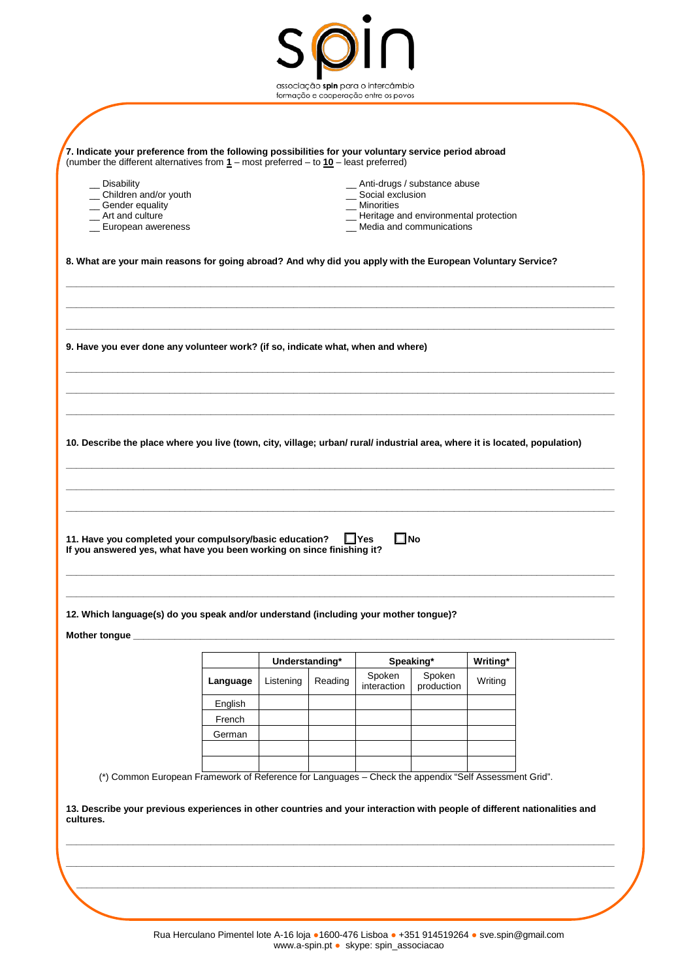|                                                                                                                                                                                                    |                                |                                   |         | formação e cooperação entre os povos |                                         |                     |  |
|----------------------------------------------------------------------------------------------------------------------------------------------------------------------------------------------------|--------------------------------|-----------------------------------|---------|--------------------------------------|-----------------------------------------|---------------------|--|
|                                                                                                                                                                                                    |                                |                                   |         |                                      |                                         |                     |  |
| 7. Indicate your preference from the following possibilities for your voluntary service period abroad<br>(number the different alternatives from $1$ – most preferred – to $10$ – least preferred) |                                |                                   |         |                                      |                                         |                     |  |
| _ Disability                                                                                                                                                                                       | _ Anti-drugs / substance abuse |                                   |         |                                      |                                         |                     |  |
| _ Children and/or youth<br>_Gender equality                                                                                                                                                        |                                | _ Social exclusion<br>_Minorities |         |                                      |                                         |                     |  |
| _ Art and culture                                                                                                                                                                                  |                                |                                   |         |                                      | _ Heritage and environmental protection |                     |  |
| _ European awereness                                                                                                                                                                               |                                |                                   |         |                                      | _ Media and communications              |                     |  |
| 8. What are your main reasons for going abroad? And why did you apply with the European Voluntary Service?                                                                                         |                                |                                   |         |                                      |                                         |                     |  |
| 9. Have you ever done any volunteer work? (if so, indicate what, when and where)                                                                                                                   |                                |                                   |         |                                      |                                         |                     |  |
|                                                                                                                                                                                                    |                                |                                   |         |                                      |                                         |                     |  |
|                                                                                                                                                                                                    |                                |                                   |         |                                      |                                         |                     |  |
|                                                                                                                                                                                                    |                                |                                   |         |                                      |                                         |                     |  |
| 10. Describe the place where you live (town, city, village; urban/ rural/ industrial area, where it is located, population)                                                                        |                                |                                   |         |                                      |                                         |                     |  |
| 11. Have you completed your compulsory/basic education?<br>If you answered yes, what have you been working on since finishing it?                                                                  |                                |                                   |         | $\Box$ Yes<br>$\square$ No           |                                         |                     |  |
|                                                                                                                                                                                                    |                                |                                   |         |                                      |                                         |                     |  |
|                                                                                                                                                                                                    |                                |                                   |         |                                      |                                         |                     |  |
|                                                                                                                                                                                                    |                                |                                   |         |                                      |                                         |                     |  |
| 12. Which language(s) do you speak and/or understand (including your mother tongue)?                                                                                                               |                                | Understanding*                    |         |                                      |                                         |                     |  |
|                                                                                                                                                                                                    | Language                       | Listening                         | Reading | Spoken<br>interaction                | Speaking*<br>Spoken<br>production       | Writing*<br>Writing |  |
|                                                                                                                                                                                                    | English                        |                                   |         |                                      |                                         |                     |  |
|                                                                                                                                                                                                    | French                         |                                   |         |                                      |                                         |                     |  |
|                                                                                                                                                                                                    | German                         |                                   |         |                                      |                                         |                     |  |
|                                                                                                                                                                                                    |                                |                                   |         |                                      |                                         |                     |  |
| (*) Common European Framework of Reference for Languages - Check the appendix "Self Assessment Grid".                                                                                              |                                |                                   |         |                                      |                                         |                     |  |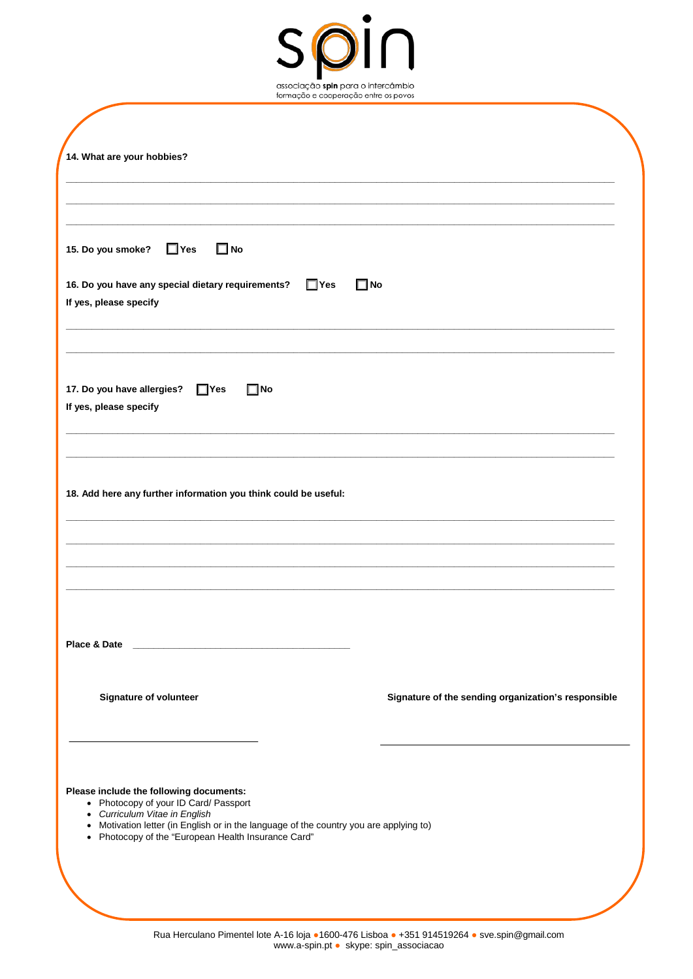

| 14. What are your hobbies?                                                                                                                                                                                                                                         |                                                     |
|--------------------------------------------------------------------------------------------------------------------------------------------------------------------------------------------------------------------------------------------------------------------|-----------------------------------------------------|
|                                                                                                                                                                                                                                                                    |                                                     |
|                                                                                                                                                                                                                                                                    |                                                     |
| $\square$ No<br>15. Do you smoke?<br>$\Box$ Yes                                                                                                                                                                                                                    |                                                     |
| 16. Do you have any special dietary requirements?<br>$\Box$ Yes<br>If yes, please specify                                                                                                                                                                          | $\square$ No                                        |
| 17. Do you have allergies?<br>$\Box$ Yes<br>$\square$ No<br>If yes, please specify                                                                                                                                                                                 |                                                     |
| 18. Add here any further information you think could be useful:                                                                                                                                                                                                    |                                                     |
|                                                                                                                                                                                                                                                                    |                                                     |
| Place & Date                                                                                                                                                                                                                                                       |                                                     |
| <b>Signature of volunteer</b>                                                                                                                                                                                                                                      | Signature of the sending organization's responsible |
| Please include the following documents:<br>• Photocopy of your ID Card/ Passport<br>• Curriculum Vitae in English<br>• Motivation letter (in English or in the language of the country you are applying to)<br>• Photocopy of the "European Health Insurance Card" |                                                     |
|                                                                                                                                                                                                                                                                    |                                                     |
|                                                                                                                                                                                                                                                                    |                                                     |